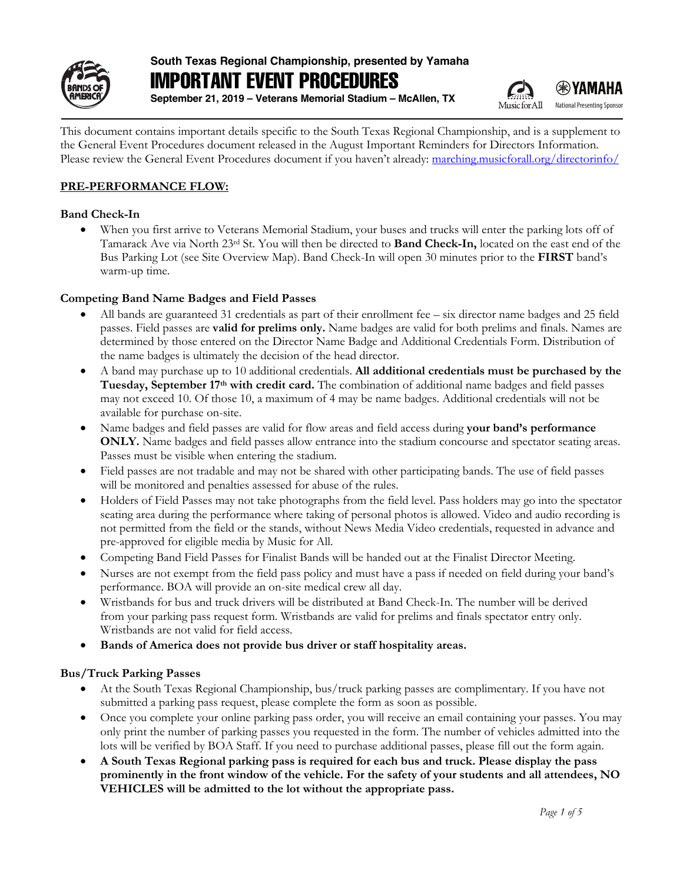

# **South Texas Regional Championship, presented by Yamaha** IMPORTANT EVENT PROCEDURES

**September 21, 2019 – Veterans Memorial Stadium – McAllen, TX**



**EXAMAHA** National Presenting Sponsor

This document contains important details specific to the South Texas Regional Championship, and is a supplement to the General Event Procedures document released in the August Important Reminders for Directors Information. Please review the General Event Procedures document if you haven't already: marching.musicforall.org/directorinfo/

# **PRE-PERFORMANCE FLOW:**

# **Band Check-In**

• When you first arrive to Veterans Memorial Stadium, your buses and trucks will enter the parking lots off of Tamarack Ave via North 23rd St. You will then be directed to **Band Check-In,** located on the east end of the Bus Parking Lot (see Site Overview Map). Band Check-In will open 30 minutes prior to the **FIRST** band's warm-up time.

# **Competing Band Name Badges and Field Passes**

- All bands are guaranteed 31 credentials as part of their enrollment fee six director name badges and 25 field passes. Field passes are **valid for prelims only.** Name badges are valid for both prelims and finals. Names are determined by those entered on the Director Name Badge and Additional Credentials Form. Distribution of the name badges is ultimately the decision of the head director.
- A band may purchase up to 10 additional credentials. **All additional credentials must be purchased by the Tuesday, September 17th with credit card.** The combination of additional name badges and field passes may not exceed 10. Of those 10, a maximum of 4 may be name badges. Additional credentials will not be available for purchase on-site.
- Name badges and field passes are valid for flow areas and field access during **your band's performance ONLY.** Name badges and field passes allow entrance into the stadium concourse and spectator seating areas. Passes must be visible when entering the stadium.
- Field passes are not tradable and may not be shared with other participating bands. The use of field passes will be monitored and penalties assessed for abuse of the rules.
- Holders of Field Passes may not take photographs from the field level. Pass holders may go into the spectator seating area during the performance where taking of personal photos is allowed. Video and audio recording is not permitted from the field or the stands, without News Media Video credentials, requested in advance and pre-approved for eligible media by Music for All.
- Competing Band Field Passes for Finalist Bands will be handed out at the Finalist Director Meeting.
- Nurses are not exempt from the field pass policy and must have a pass if needed on field during your band's performance. BOA will provide an on-site medical crew all day.
- Wristbands for bus and truck drivers will be distributed at Band Check-In. The number will be derived from your parking pass request form. Wristbands are valid for prelims and finals spectator entry only. Wristbands are not valid for field access.
- **Bands of America does not provide bus driver or staff hospitality areas.**

# **Bus/Truck Parking Passes**

- At the South Texas Regional Championship, bus/truck parking passes are complimentary. If you have not submitted a parking pass request, please complete the form as soon as possible.
- Once you complete your online parking pass order, you will receive an email containing your passes. You may only print the number of parking passes you requested in the form. The number of vehicles admitted into the lots will be verified by BOA Staff. If you need to purchase additional passes, please fill out the form again.
- **A South Texas Regional parking pass is required for each bus and truck. Please display the pass prominently in the front window of the vehicle. For the safety of your students and all attendees, NO VEHICLES will be admitted to the lot without the appropriate pass.**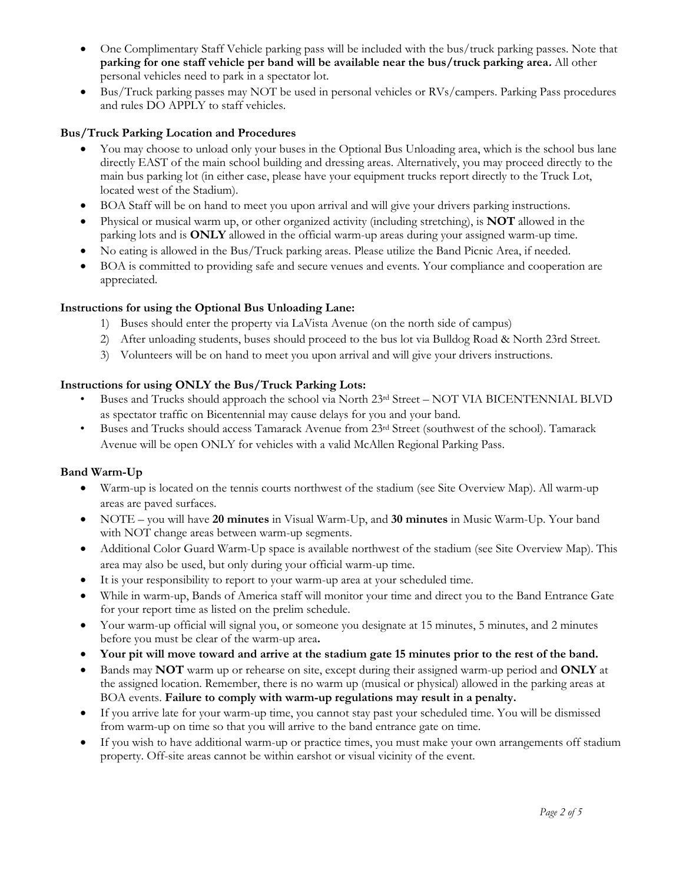- One Complimentary Staff Vehicle parking pass will be included with the bus/truck parking passes. Note that **parking for one staff vehicle per band will be available near the bus/truck parking area.** All other personal vehicles need to park in a spectator lot.
- Bus/Truck parking passes may NOT be used in personal vehicles or RVs/campers. Parking Pass procedures and rules DO APPLY to staff vehicles.

# **Bus/Truck Parking Location and Procedures**

- You may choose to unload only your buses in the Optional Bus Unloading area, which is the school bus lane directly EAST of the main school building and dressing areas. Alternatively, you may proceed directly to the main bus parking lot (in either case, please have your equipment trucks report directly to the Truck Lot, located west of the Stadium).
- BOA Staff will be on hand to meet you upon arrival and will give your drivers parking instructions.
- Physical or musical warm up, or other organized activity (including stretching), is **NOT** allowed in the parking lots and is **ONLY** allowed in the official warm-up areas during your assigned warm-up time.
- No eating is allowed in the Bus/Truck parking areas. Please utilize the Band Picnic Area, if needed.
- BOA is committed to providing safe and secure venues and events. Your compliance and cooperation are appreciated.

#### **Instructions for using the Optional Bus Unloading Lane:**

- 1) Buses should enter the property via LaVista Avenue (on the north side of campus)
- 2) After unloading students, buses should proceed to the bus lot via Bulldog Road & North 23rd Street.
- 3) Volunteers will be on hand to meet you upon arrival and will give your drivers instructions.

#### **Instructions for using ONLY the Bus/Truck Parking Lots:**

- Buses and Trucks should approach the school via North 23rd Street NOT VIA BICENTENNIAL BLVD as spectator traffic on Bicentennial may cause delays for you and your band.
- Buses and Trucks should access Tamarack Avenue from 23rd Street (southwest of the school). Tamarack Avenue will be open ONLY for vehicles with a valid McAllen Regional Parking Pass.

# **Band Warm-Up**

- Warm-up is located on the tennis courts northwest of the stadium (see Site Overview Map). All warm-up areas are paved surfaces.
- NOTE you will have **20 minutes** in Visual Warm-Up, and **30 minutes** in Music Warm-Up. Your band with NOT change areas between warm-up segments.
- Additional Color Guard Warm-Up space is available northwest of the stadium (see Site Overview Map). This area may also be used, but only during your official warm-up time.
- It is your responsibility to report to your warm-up area at your scheduled time.
- While in warm-up, Bands of America staff will monitor your time and direct you to the Band Entrance Gate for your report time as listed on the prelim schedule.
- Your warm-up official will signal you, or someone you designate at 15 minutes, 5 minutes, and 2 minutes before you must be clear of the warm-up area**.**
- **Your pit will move toward and arrive at the stadium gate 15 minutes prior to the rest of the band.**
- Bands may **NOT** warm up or rehearse on site, except during their assigned warm-up period and **ONLY** at the assigned location. Remember, there is no warm up (musical or physical) allowed in the parking areas at BOA events. **Failure to comply with warm-up regulations may result in a penalty.**
- If you arrive late for your warm-up time, you cannot stay past your scheduled time. You will be dismissed from warm-up on time so that you will arrive to the band entrance gate on time.
- If you wish to have additional warm-up or practice times, you must make your own arrangements off stadium property. Off-site areas cannot be within earshot or visual vicinity of the event.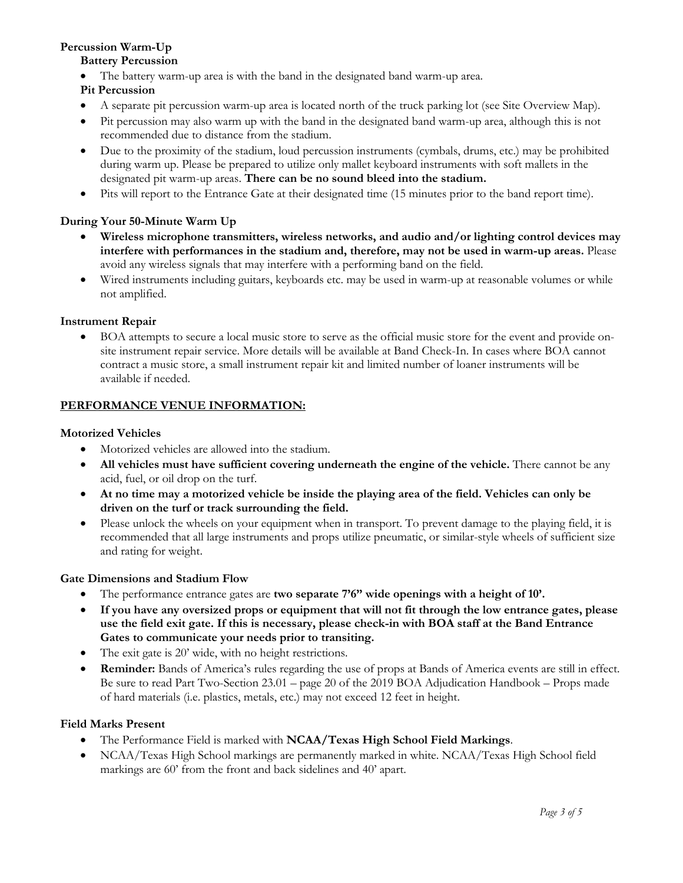# **Percussion Warm-Up**

# **Battery Percussion**

The battery warm-up area is with the band in the designated band warm-up area.

# **Pit Percussion**

- A separate pit percussion warm-up area is located north of the truck parking lot (see Site Overview Map).
- Pit percussion may also warm up with the band in the designated band warm-up area, although this is not recommended due to distance from the stadium.
- Due to the proximity of the stadium, loud percussion instruments (cymbals, drums, etc.) may be prohibited during warm up. Please be prepared to utilize only mallet keyboard instruments with soft mallets in the designated pit warm-up areas. **There can be no sound bleed into the stadium.**
- Pits will report to the Entrance Gate at their designated time (15 minutes prior to the band report time).

# **During Your 50-Minute Warm Up**

- **Wireless microphone transmitters, wireless networks, and audio and/or lighting control devices may interfere with performances in the stadium and, therefore, may not be used in warm-up areas.** Please avoid any wireless signals that may interfere with a performing band on the field.
- Wired instruments including guitars, keyboards etc. may be used in warm-up at reasonable volumes or while not amplified.

# **Instrument Repair**

• BOA attempts to secure a local music store to serve as the official music store for the event and provide onsite instrument repair service. More details will be available at Band Check-In. In cases where BOA cannot contract a music store, a small instrument repair kit and limited number of loaner instruments will be available if needed.

# **PERFORMANCE VENUE INFORMATION:**

# **Motorized Vehicles**

- Motorized vehicles are allowed into the stadium.
- **All vehicles must have sufficient covering underneath the engine of the vehicle.** There cannot be any acid, fuel, or oil drop on the turf.
- **At no time may a motorized vehicle be inside the playing area of the field. Vehicles can only be driven on the turf or track surrounding the field.**
- Please unlock the wheels on your equipment when in transport. To prevent damage to the playing field, it is recommended that all large instruments and props utilize pneumatic, or similar-style wheels of sufficient size and rating for weight.

# **Gate Dimensions and Stadium Flow**

- The performance entrance gates are **two separate 7'6" wide openings with a height of 10'.**
- **If you have any oversized props or equipment that will not fit through the low entrance gates, please use the field exit gate. If this is necessary, please check-in with BOA staff at the Band Entrance Gates to communicate your needs prior to transiting.**
- The exit gate is 20' wide, with no height restrictions.
- **Reminder:** Bands of America's rules regarding the use of props at Bands of America events are still in effect. Be sure to read Part Two-Section 23.01 – page 20 of the 2019 BOA Adjudication Handbook – Props made of hard materials (i.e. plastics, metals, etc.) may not exceed 12 feet in height.

# **Field Marks Present**

- The Performance Field is marked with **NCAA/Texas High School Field Markings**.
- NCAA/Texas High School markings are permanently marked in white. NCAA/Texas High School field markings are 60' from the front and back sidelines and 40' apart.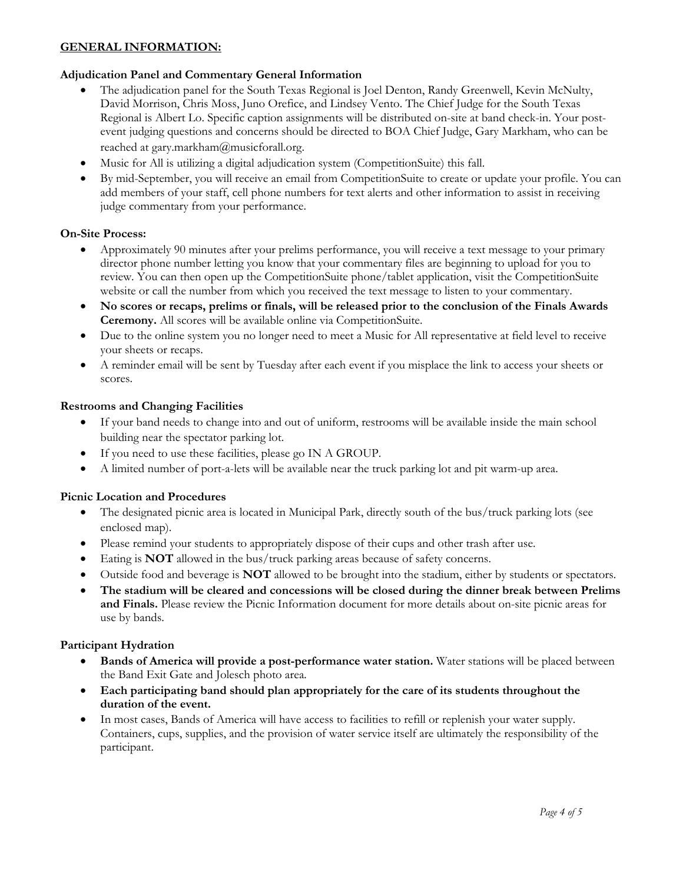# **GENERAL INFORMATION:**

#### **Adjudication Panel and Commentary General Information**

- The adjudication panel for the South Texas Regional is Joel Denton, Randy Greenwell, Kevin McNulty, David Morrison, Chris Moss, Juno Orefice, and Lindsey Vento. The Chief Judge for the South Texas Regional is Albert Lo. Specific caption assignments will be distributed on-site at band check-in. Your postevent judging questions and concerns should be directed to BOA Chief Judge, Gary Markham, who can be reached at gary.markham@musicforall.org.
- Music for All is utilizing a digital adjudication system (CompetitionSuite) this fall.
- By mid-September, you will receive an email from CompetitionSuite to create or update your profile. You can add members of your staff, cell phone numbers for text alerts and other information to assist in receiving judge commentary from your performance.

# **On-Site Process:**

- Approximately 90 minutes after your prelims performance, you will receive a text message to your primary director phone number letting you know that your commentary files are beginning to upload for you to review. You can then open up the CompetitionSuite phone/tablet application, visit the CompetitionSuite website or call the number from which you received the text message to listen to your commentary.
- **No scores or recaps, prelims or finals, will be released prior to the conclusion of the Finals Awards Ceremony.** All scores will be available online via CompetitionSuite.
- Due to the online system you no longer need to meet a Music for All representative at field level to receive your sheets or recaps.
- A reminder email will be sent by Tuesday after each event if you misplace the link to access your sheets or scores.

#### **Restrooms and Changing Facilities**

- If your band needs to change into and out of uniform, restrooms will be available inside the main school building near the spectator parking lot.
- If you need to use these facilities, please go IN A GROUP.
- A limited number of port-a-lets will be available near the truck parking lot and pit warm-up area.

#### **Picnic Location and Procedures**

- The designated picnic area is located in Municipal Park, directly south of the bus/truck parking lots (see enclosed map).
- Please remind your students to appropriately dispose of their cups and other trash after use.
- Eating is **NOT** allowed in the bus/truck parking areas because of safety concerns.
- Outside food and beverage is **NOT** allowed to be brought into the stadium, either by students or spectators.
- **The stadium will be cleared and concessions will be closed during the dinner break between Prelims and Finals.** Please review the Picnic Information document for more details about on-site picnic areas for use by bands.

#### **Participant Hydration**

- **Bands of America will provide a post-performance water station.** Water stations will be placed between the Band Exit Gate and Jolesch photo area*.*
- **Each participating band should plan appropriately for the care of its students throughout the duration of the event.**
- In most cases, Bands of America will have access to facilities to refill or replenish your water supply. Containers, cups, supplies, and the provision of water service itself are ultimately the responsibility of the participant.